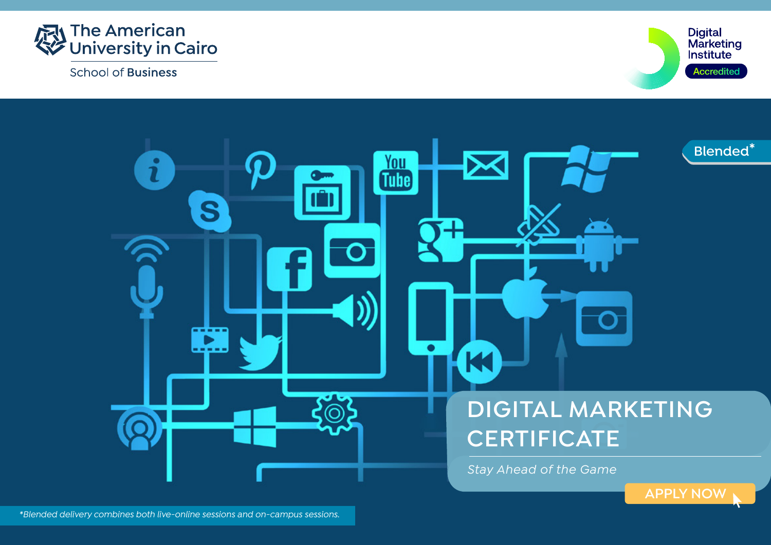

**School of Business** 



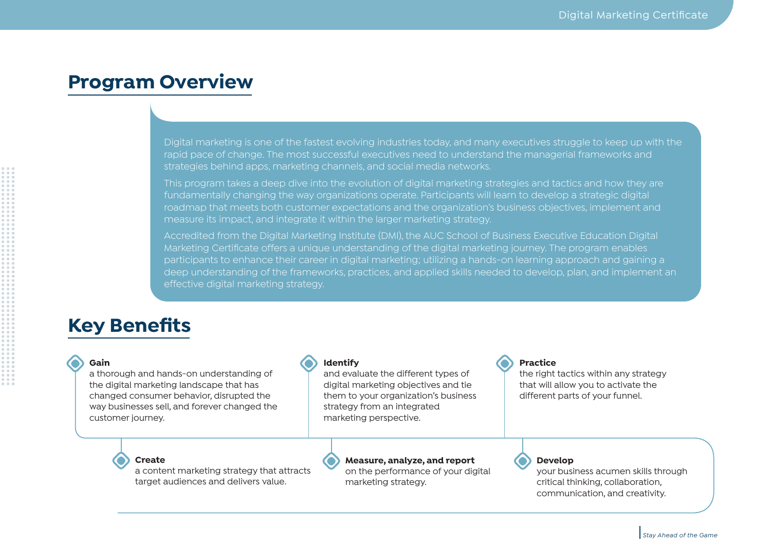### **Program Overview**

Digital marketing is one of the fastest evolving industries today, and many executives struggle to keep up with the rapid pace of change. The most successful executives need to understand the managerial frameworks and strategies behind apps, marketing channels, and social media networks.

This program takes a deep dive into the evolution of digital marketing strategies and tactics and how they are fundamentally changing the way organizations operate. Participants will learn to develop a strategic digital roadmap that meets both customer expectations and the organization's business objectives, implement and measure its impact, and integrate it within the larger marketing strategy.

Accredited from the Digital Marketing Institute (DMI), the AUC School of Business Executive Education Digital Marketing Certificate offers a unique understanding of the digital marketing journey. The program enables participants to enhance their career in digital marketing; utilizing a hands-on learning approach and gaining a deep understanding of the frameworks, practices, and applied skills needed to develop, plan, and implement an effective digital marketing strategy.

### **Key Benefits**

#### **Gain**

a thorough and hands-on understanding of the digital marketing landscape that has changed consumer behavior, disrupted the way businesses sell, and forever changed the customer journey.

#### **Identify**

and evaluate the different types of digital marketing objectives and tie them to your organization's business strategy from an integrated marketing perspective.

#### **Create**

a content marketing strategy that attracts target audiences and delivers value.

#### **Measure, analyze, and report**  on the performance of your digital

marketing strategy.

#### **Practice**

the right tactics within any strategy that will allow you to activate the different parts of your funnel.

#### **Develop**

your business acumen skills through critical thinking, collaboration, communication, and creativity.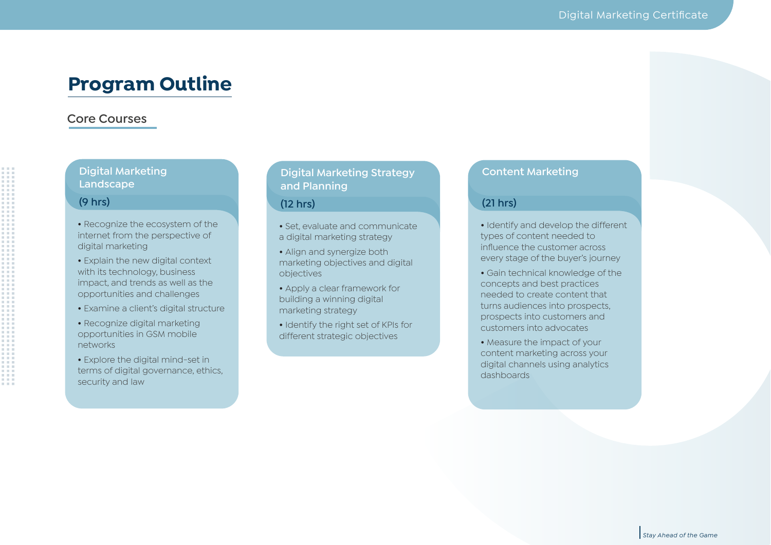### **Program Outline**

#### **Core Courses**

#### **Digital Marketing Landscape**

#### **(9 hrs)**

- **•** Recognize the ecosystem of the internet from the perspective of digital marketing
- Explain the new digital context with its technology, business impact, and trends as well as the opportunities and challenges
- Examine a client's digital structure
- Recognize digital marketing opportunities in GSM mobile networks
- Explore the digital mind-set in terms of digital governance, ethics, security and law

### **Digital Marketing Strategy and Planning**

#### **(12 hrs)**

**•** Set, evaluate and communicate a digital marketing strategy

- **•** Align and synergize both marketing objectives and digital objectives
- **•** Apply a clear framework for building a winning digital marketing strategy
- **•** Identify the right set of KPIs for different strategic objectives

#### **Content Marketing**

#### **(21 hrs)**

- **•** Identify and develop the different types of content needed to influence the customer across every stage of the buyer's journey
- **•** Gain technical knowledge of the concepts and best practices needed to create content that turns audiences into prospects, prospects into customers and customers into advocates
- **•** Measure the impact of your content marketing across your digital channels using analytics dashboards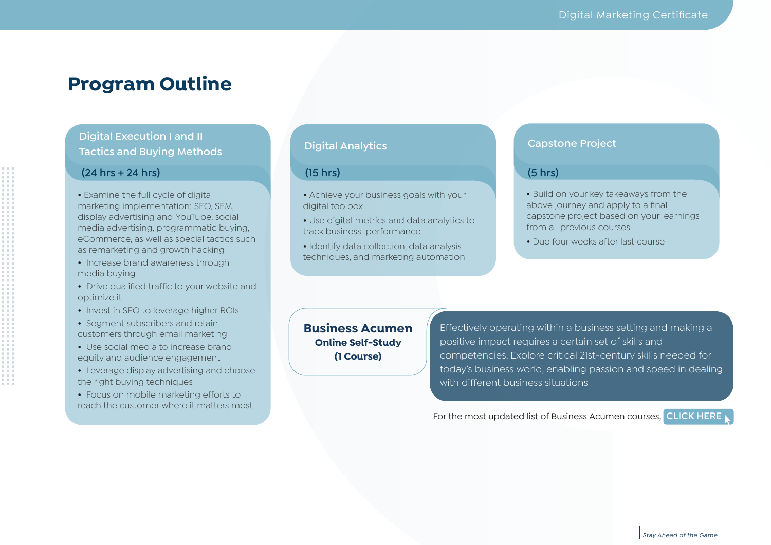### **Program Outline**

**Digital Execution I and II Tactics and Buying Methods**

#### **(24 hrs + 24 hrs)**

**•** Examine the full cycle of digital marketing implementation: SEO, SEM, display advertising and YouTube, social media advertising, programmatic buying, eCommerce, as well as special tactics such as remarketing and growth hacking

- Increase brand awareness through media buying
- Drive qualified traffic to your website and optimize it
- Invest in SEO to leverage higher ROIs
- Segment subscribers and retain customers through email marketing
- Use social media to increase brand equity and audience engagement
- Leverage display advertising and choose the right buying techniques
- Focus on mobile marketing efforts to reach the customer where it matters most

#### **Digital Analytics**

#### **(15 hrs) (5 hrs)**

- **•** Achieve your business goals with your digital toolbox
- **•** Use digital metrics and data analytics to track business performance
- **•** Identify data collection, data analysis techniques, and marketing automation

### **Capstone Project**

- **•** Build on your key takeaways from the above journey and apply to a final capstone project based on your learnings from all previous courses
- Due four weeks after last course

**Business Acumen Online Self-Study (1 Course)**

Effectively operating within a business setting and making a positive impact requires a certain set of skills and competencies. Explore critical 21st-century skills needed for today's business world, enabling passion and speed in dealing with different business situations

For the most updated list of Business Acumen courses, **[CLICK HERE](https://business.aucegypt.edu/execed/individual-programs/business-acumen-courses)**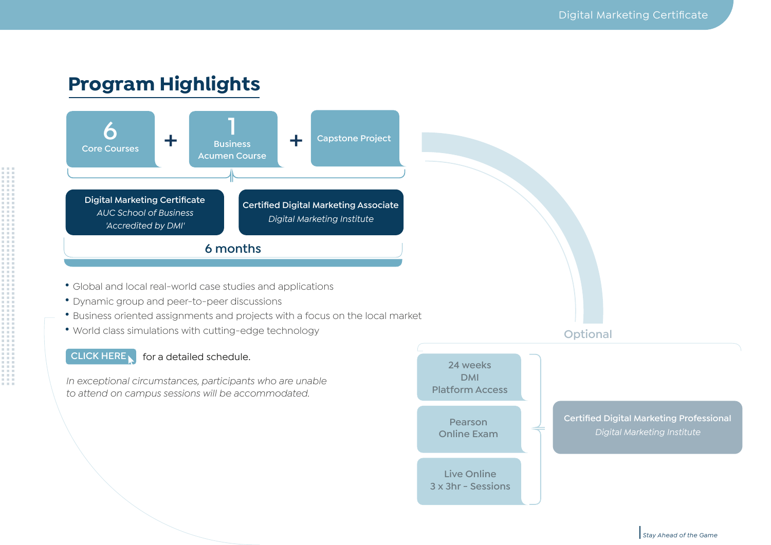# **Program Highlights**



- Global and local real-world case studies and applications
- Dynamic group and peer-to-peer discussions
- Business oriented assignments and projects with a focus on the local market
- World class simulations with cutting-edge technology

#### **[CLICK HERE](https://documents.aucegypt.edu/Docs/Business/ExecEd%20Revamp%20Brochures/Schedule%20-%20DMC.pdf)** for a detailed schedule.

*In exceptional circumstances, participants who are unable to attend on campus sessions will be accommodated.*

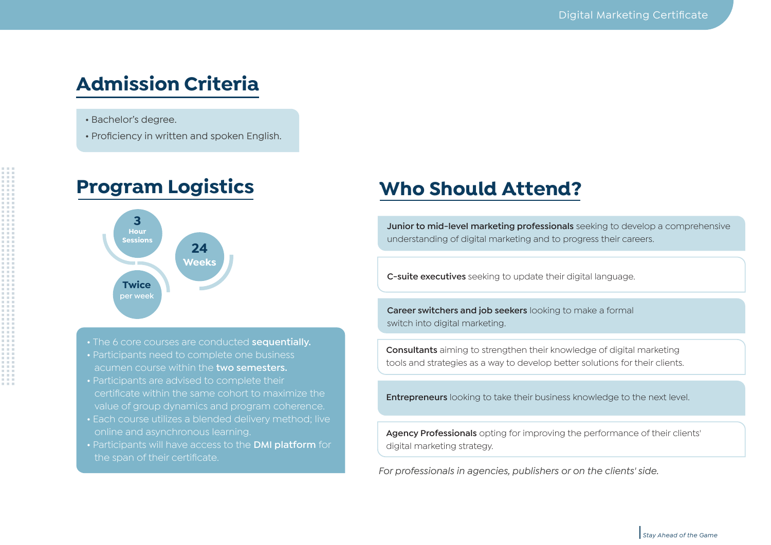# **Admission Criteria**

- Bachelor's degree.
- Proficiency in written and spoken English.

### **Program Logistics**



- The 6 core courses are conducted **sequentially.** • Participants need to complete one business acumen course within the **two semesters.**
- certificate within the same cohort to maximize the value of group dynamics and program coherence.
- online and asynchronous learning.
- Participants will have access to the **DMI platform** for the span of their certificate.

## **Who Should Attend?**

**Junior to mid-level marketing professionals** seeking to develop a comprehensive understanding of digital marketing and to progress their careers.

**C-suite executives** seeking to update their digital language.

**Career switchers and job seekers** looking to make a formal switch into digital marketing.

**Consultants** aiming to strengthen their knowledge of digital marketing tools and strategies as a way to develop better solutions for their clients.

**Entrepreneurs** looking to take their business knowledge to the next level.

**Agency Professionals** opting for improving the performance of their clients' digital marketing strategy.

*For professionals in agencies, publishers or on the clients' side.*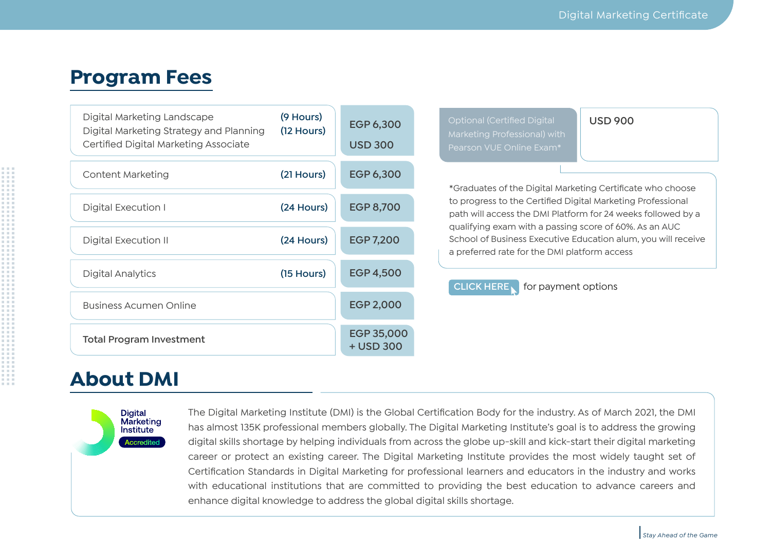### **Program Fees**

| Digital Marketing Landscape<br>Digital Marketing Strategy and Planning<br>Certified Digital Marketing Associate | (9 Hours)<br>$(12$ Hours) | <b>EGP 6,300</b><br><b>USD 300</b> |  | <b>Optional (Certified Digital</b><br>Marketing Professional) with<br>Pearson VUE Online Exam*                                                                                                                                                                                                                                                                                                                   | <b>USD 900</b> |  |
|-----------------------------------------------------------------------------------------------------------------|---------------------------|------------------------------------|--|------------------------------------------------------------------------------------------------------------------------------------------------------------------------------------------------------------------------------------------------------------------------------------------------------------------------------------------------------------------------------------------------------------------|----------------|--|
| Content Marketing                                                                                               | (21 Hours)                | <b>EGP 6,300</b>                   |  | *Graduates of the Digital Marketing Certificate who choose<br>to progress to the Certified Digital Marketing Professional<br>path will access the DMI Platform for 24 weeks followed by a<br>qualifying exam with a passing score of 60%. As an AUC<br>School of Business Executive Education alum, you will receive<br>a preferred rate for the DMI platform access<br><b>CLICK HERE</b><br>for payment options |                |  |
| Digital Execution I                                                                                             | (24 Hours)                | <b>EGP 8,700</b>                   |  |                                                                                                                                                                                                                                                                                                                                                                                                                  |                |  |
| Digital Execution II                                                                                            | (24 Hours)                | <b>EGP 7,200</b>                   |  |                                                                                                                                                                                                                                                                                                                                                                                                                  |                |  |
| <b>Digital Analytics</b>                                                                                        | $(15$ Hours)              | <b>EGP 4,500</b>                   |  |                                                                                                                                                                                                                                                                                                                                                                                                                  |                |  |
| Business Acumen Online                                                                                          |                           | <b>EGP 2,000</b>                   |  |                                                                                                                                                                                                                                                                                                                                                                                                                  |                |  |
| <b>Total Program Investment</b>                                                                                 |                           | EGP 35,000<br>+ USD 300            |  |                                                                                                                                                                                                                                                                                                                                                                                                                  |                |  |

### **About DMI**



The Digital Marketing Institute (DMI) is the Global Certification Body for the industry. As of March 2021, the DMI has almost 135K professional members globally. The Digital Marketing Institute's goal is to address the growing digital skills shortage by helping individuals from across the globe up-skill and kick-start their digital marketing career or protect an existing career. The Digital Marketing Institute provides the most widely taught set of Certification Standards in Digital Marketing for professional learners and educators in the industry and works with educational institutions that are committed to providing the best education to advance careers and enhance digital knowledge to address the global digital skills shortage.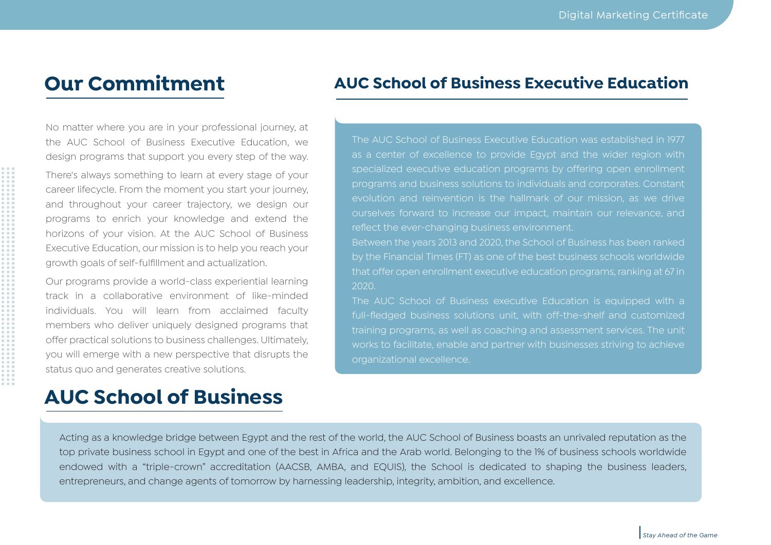## **Our Commitment**

No matter where you are in your professional journey, at the AUC School of Business Executive Education, we design programs that support you every step of the way.

There's always something to learn at every stage of your career lifecycle. From the moment you start your journey, and throughout your career trajectory, we design our programs to enrich your knowledge and extend the horizons of your vision. At the AUC School of Business Executive Education, our mission is to help you reach your growth goals of self-fulfillment and actualization.

Our programs provide a world-class experiential learning track in a collaborative environment of like-minded individuals. You will learn from acclaimed faculty members who deliver uniquely designed programs that offer practical solutions to business challenges. Ultimately, you will emerge with a new perspective that disrupts the status quo and generates creative solutions.

### **AUC School of Business**

### **AUC School of Business Executive Education**

The AUC School of Business Executive Education was established in 1977 as a center of excellence to provide Egypt and the wider region with specialized executive education programs by offering open enrollment programs and business solutions to individuals and corporates. Constant evolution and reinvention is the hallmark of our mission, as we drive ourselves forward to increase our impact, maintain our relevance, and reflect the ever-changing business environment.

Between the years 2013 and 2020, the School of Business has been ranked that offer open enrollment executive education programs, ranking at 67 in 2020.

The AUC School of Business executive Education is equipped with a full-fledged business solutions unit, with off-the-shelf and customized training programs, as well as coaching and assessment services. The unit works to facilitate, enable and partner with businesses striving to achieve organizational excellence.

Acting as a knowledge bridge between Egypt and the rest of the world, the AUC School of Business boasts an unrivaled reputation as the top private business school in Egypt and one of the best in Africa and the Arab world. Belonging to the 1% of business schools worldwide endowed with a "triple-crown" accreditation (AACSB, AMBA, and EQUIS), the School is dedicated to shaping the business leaders, entrepreneurs, and change agents of tomorrow by harnessing leadership, integrity, ambition, and excellence.